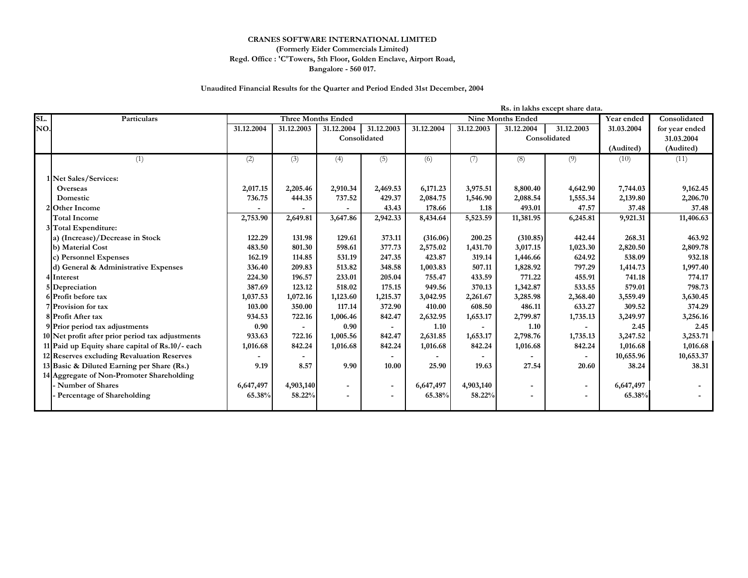## **CRANES SOFTWARE INTERNATIONAL LIMITED (Formerly Eider Commercials Limited) Regd. Office : 'C'Towers, 5th Floor, Golden Enclave, Airport Road, Bangalore - 560 017.**

## **Unaudited Financial Results for the Quarter and Period Ended 31st December, 2004**

|     | Rs. in lakhs except share data.                  |            |                           |                          |                          |                          |            |                          |                          |              |                |
|-----|--------------------------------------------------|------------|---------------------------|--------------------------|--------------------------|--------------------------|------------|--------------------------|--------------------------|--------------|----------------|
| SL. | Particulars                                      |            | <b>Three Months Ended</b> |                          |                          | <b>Nine Months Ended</b> |            |                          | Year ended               | Consolidated |                |
| NO. |                                                  | 31.12.2004 | 31.12.2003                | 31.12.2004               | 31.12.2003               | 31.12.2004               | 31.12.2003 | 31.12.2004               | 31.12.2003               | 31.03.2004   | for year ended |
|     |                                                  |            |                           | Consolidated             |                          |                          |            |                          | Consolidated             |              | 31.03.2004     |
|     |                                                  |            |                           |                          |                          |                          |            |                          |                          | (Audited)    | (Audited)      |
|     | (1)                                              | (2)        | (3)                       | (4)                      | (5)                      | (6)                      | (7)        | (8)                      | (9)                      | (10)         | (11)           |
|     | 1 Net Sales/Services:                            |            |                           |                          |                          |                          |            |                          |                          |              |                |
|     | <b>Overseas</b>                                  | 2,017.15   | 2,205.46                  | 2,910.34                 | 2,469.53                 | 6,171.23                 | 3,975.51   | 8,800.40                 | 4,642.90                 | 7,744.03     | 9,162.45       |
|     | Domestic                                         | 736.75     | 444.35                    | 737.52                   | 429.37                   | 2,084.75                 | 1,546.90   | 2,088.54                 | 1,555.34                 | 2,139.80     | 2,206.70       |
|     | 2 Other Income                                   |            |                           |                          | 43.43                    | 178.66                   | 1.18       | 493.01                   | 47.57                    | 37.48        | 37.48          |
|     | <b>Total Income</b>                              | 2,753.90   | 2,649.81                  | 3,647.86                 | 2,942.33                 | 8,434.64                 | 5,523.59   | 11,381.95                | 6,245.81                 | 9,921.31     | 11,406.63      |
|     | 3 Total Expenditure:                             |            |                           |                          |                          |                          |            |                          |                          |              |                |
|     | a) (Increase)/Decrease in Stock                  | 122.29     | 131.98                    | 129.61                   | 373.11                   | (316.06)                 | 200.25     | (310.85)                 | 442.44                   | 268.31       | 463.92         |
|     | b) Material Cost                                 | 483.50     | 801.30                    | 598.61                   | 377.73                   | 2,575.02                 | 1,431.70   | 3,017.15                 | 1,023.30                 | 2,820.50     | 2,809.78       |
|     | c) Personnel Expenses                            | 162.19     | 114.85                    | 531.19                   | 247.35                   | 423.87                   | 319.14     | 1,446.66                 | 624.92                   | 538.09       | 932.18         |
|     | d) General & Administrative Expenses             | 336.40     | 209.83                    | 513.82                   | 348.58                   | 1,003.83                 | 507.11     | 1,828.92                 | 797.29                   | 1,414.73     | 1,997.40       |
|     | 4 Interest                                       | 224.30     | 196.57                    | 233.01                   | 205.04                   | 755.47                   | 433.59     | 771.22                   | 455.91                   | 741.18       | 774.17         |
|     | 5 Depreciation                                   | 387.69     | 123.12                    | 518.02                   | 175.15                   | 949.56                   | 370.13     | 1,342.87                 | 533.55                   | 579.01       | 798.73         |
|     | 6 Profit before tax                              | 1,037.53   | 1,072.16                  | 1,123.60                 | 1,215.37                 | 3,042.95                 | 2,261.67   | 3,285.98                 | 2,368.40                 | 3,559.49     | 3,630.45       |
|     | 7 Provision for tax                              | 103.00     | 350.00                    | 117.14                   | 372.90                   | 410.00                   | 608.50     | 486.11                   | 633.27                   | 309.52       | 374.29         |
|     | 8 Profit After tax                               | 934.53     | 722.16                    | 1,006.46                 | 842.47                   | 2,632.95                 | 1,653.17   | 2,799.87                 | 1,735.13                 | 3,249.97     | 3,256.16       |
|     | 9 Prior period tax adjustments                   | 0.90       |                           | 0.90                     |                          | 1.10                     |            | 1.10                     |                          | 2.45         | 2.45           |
|     | 10 Net profit after prior period tax adjustments | 933.63     | 722.16                    | 1,005.56                 | 842.47                   | 2,631.85                 | 1,653.17   | 2,798.76                 | 1,735.13                 | 3,247.52     | 3,253.71       |
|     | 11 Paid up Equity share capital of Rs.10/- each  | 1,016.68   | 842.24                    | 1,016.68                 | 842.24                   | 1,016.68                 | 842.24     | 1,016.68                 | 842.24                   | 1,016.68     | 1,016.68       |
|     | 12 Reserves excluding Revaluation Reserves       |            |                           |                          |                          |                          |            |                          |                          | 10,655.96    | 10,653.37      |
|     | 13 Basic & Diluted Earning per Share (Rs.)       | 9.19       | 8.57                      | 9.90                     | 10.00                    | 25.90                    | 19.63      | 27.54                    | 20.60                    | 38.24        | 38.31          |
|     | 14 Aggregate of Non-Promoter Shareholding        |            |                           |                          |                          |                          |            |                          |                          |              |                |
|     | - Number of Shares                               | 6,647,497  | 4,903,140                 | $\overline{\phantom{a}}$ | $\overline{\phantom{a}}$ | 6,647,497                | 4,903,140  | $\overline{\phantom{a}}$ | $\overline{\phantom{a}}$ | 6,647,497    |                |
|     | Percentage of Shareholding                       | 65.38%     | 58.22%                    |                          |                          | 65.38%                   | 58.22%     |                          |                          | 65.38%       |                |
|     |                                                  |            |                           |                          |                          |                          |            |                          |                          |              |                |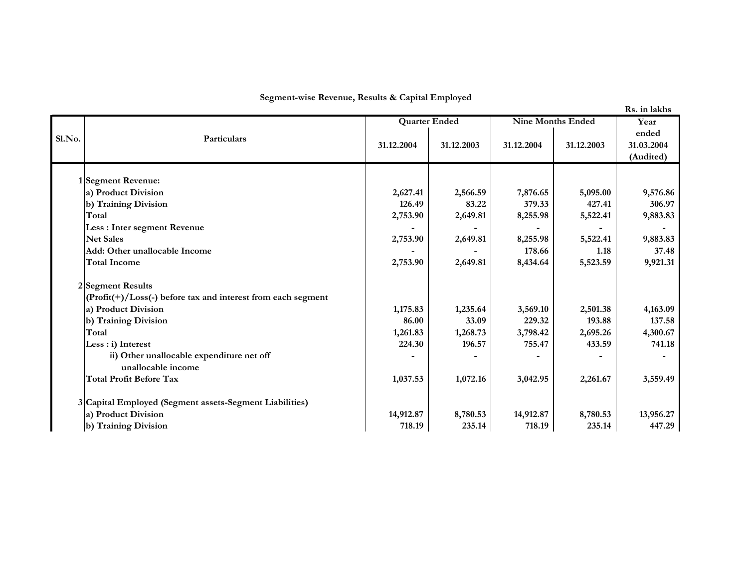**Segment-wise Revenue, Results & Capital Employed**

|  |  | Rs. in lakhs |
|--|--|--------------|
|--|--|--------------|

|        |                                                                   |                    | <b>Quarter Ended</b> |                    | <b>Nine Months Ended</b> |                                  |
|--------|-------------------------------------------------------------------|--------------------|----------------------|--------------------|--------------------------|----------------------------------|
| Sl.No. | Particulars                                                       | 31.12.2004         | 31.12.2003           | 31.12.2004         | 31.12.2003               | ended<br>31.03.2004<br>(Audited) |
|        |                                                                   |                    |                      |                    |                          |                                  |
|        | 1Segment Revenue:                                                 |                    |                      |                    |                          |                                  |
|        | a) Product Division<br>b) Training Division                       | 2,627.41<br>126.49 | 2,566.59<br>83.22    | 7,876.65<br>379.33 | 5,095.00<br>427.41       | 9,576.86<br>306.97               |
|        | Total                                                             | 2,753.90           | 2,649.81             | 8,255.98           | 5,522.41                 | 9,883.83                         |
|        | Less : Inter segment Revenue                                      |                    |                      |                    |                          |                                  |
|        | <b>Net Sales</b>                                                  | 2,753.90           | 2,649.81             | 8,255.98           | 5,522.41                 | 9,883.83                         |
|        | Add: Other unallocable Income                                     |                    |                      | 178.66             | 1.18                     | 37.48                            |
|        | <b>Total Income</b>                                               | 2,753.90           | 2,649.81             | 8,434.64           | 5,523.59                 | 9,921.31                         |
|        | 2 Segment Results                                                 |                    |                      |                    |                          |                                  |
|        | $(Profit(+) / Loss(-) before tax and interest from each segment)$ |                    |                      |                    |                          |                                  |
|        | a) Product Division                                               | 1,175.83           | 1,235.64             | 3,569.10           | 2,501.38                 | 4,163.09                         |
|        | b) Training Division                                              | 86.00              | 33.09                | 229.32             | 193.88                   | 137.58                           |
|        | Total                                                             | 1,261.83           | 1,268.73             | 3,798.42           | 2,695.26                 | 4,300.67                         |
|        | Less : i) Interest                                                | 224.30             | 196.57               | 755.47             | 433.59                   | 741.18                           |
|        | ii) Other unallocable expenditure net off                         |                    |                      |                    |                          |                                  |
|        | unallocable income                                                |                    |                      |                    |                          |                                  |
|        | <b>Total Profit Before Tax</b>                                    | 1,037.53           | 1,072.16             | 3,042.95           | 2,261.67                 | 3,559.49                         |
|        | 3 Capital Employed (Segment assets-Segment Liabilities)           |                    |                      |                    |                          |                                  |
|        | a) Product Division                                               | 14,912.87          | 8,780.53             | 14,912.87          | 8,780.53                 | 13,956.27                        |
|        | b) Training Division                                              | 718.19             | 235.14               | 718.19             | 235.14                   | 447.29                           |